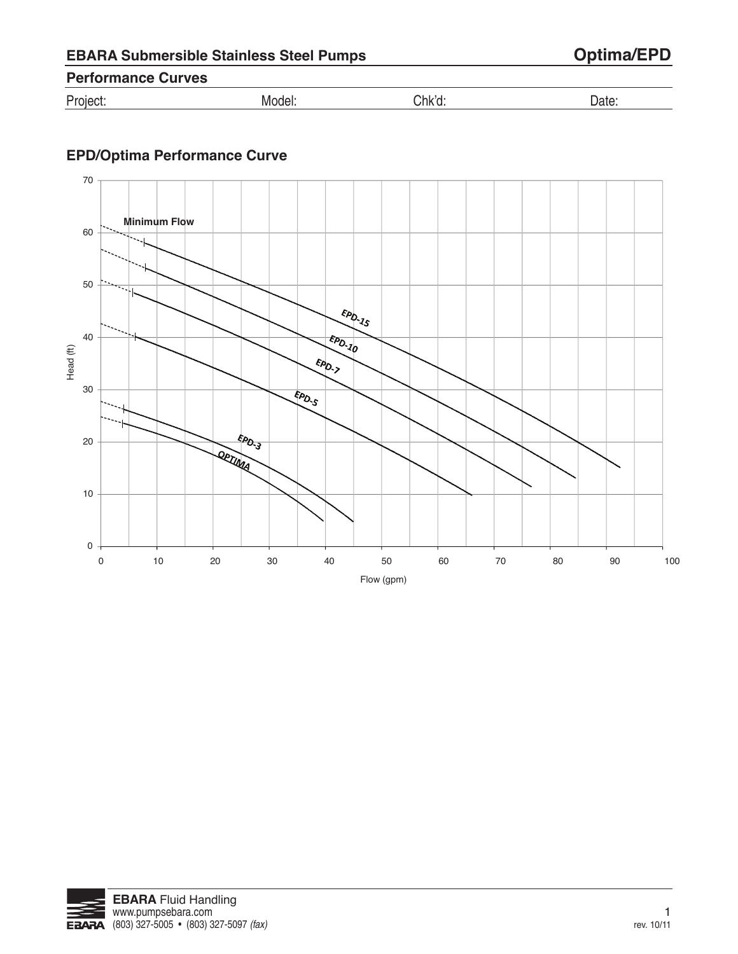| <b>EBARA Submersible Stainless Steel Pumps</b> |  |  |
|------------------------------------------------|--|--|
|------------------------------------------------|--|--|

## $Optima/EPD$

## **Performance Curves**

| Project: | WIOQ <del>u</del> i. | Chk'd |  |
|----------|----------------------|-------|--|
|----------|----------------------|-------|--|

## **EPD/Optima Performance Curve**



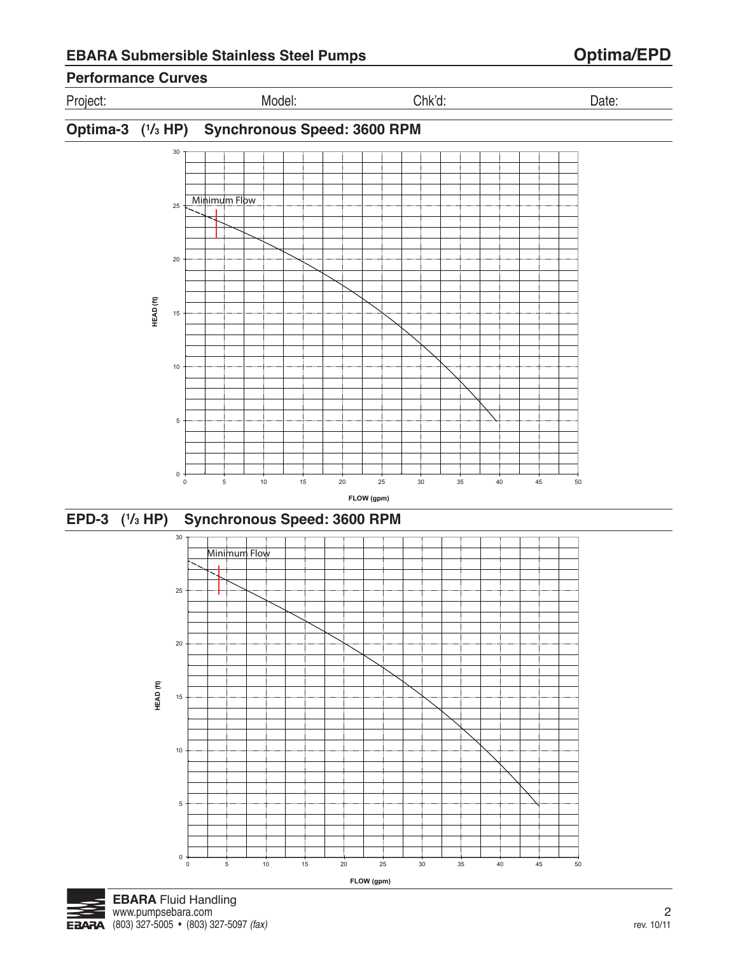

0 5 10 15 20 25 30 35 40 45 50

**FLOW (gpm)** 

 $\mathbf 0$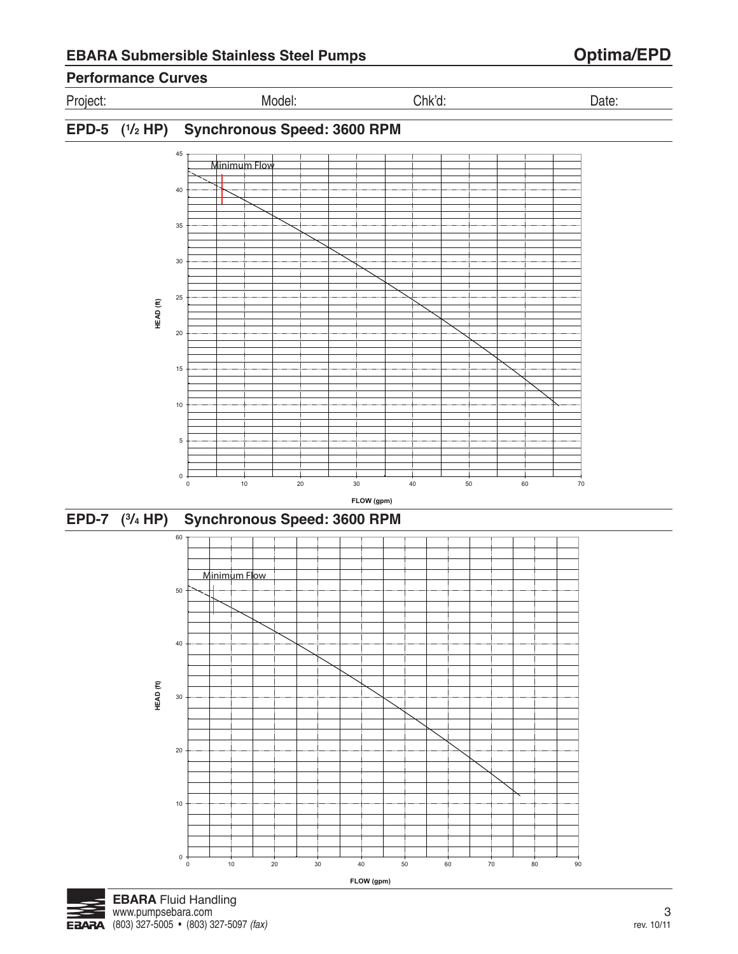## **Performance Curves**